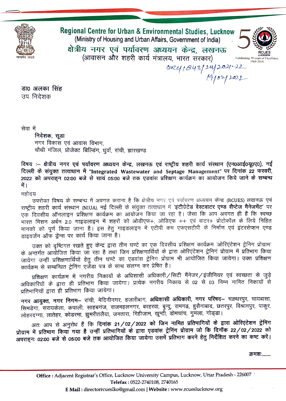

Regional Centre for Urban & Environmental Studies, Lucknow (Ministry of Housing and Urban Affairs, Government of India) क्षेत्रीय नगर एवं पर्यावरण अध्ययन केन्द्र, लखनऊ (आवासन और शहरी कार्य मंत्रालय, भारत सरकार) 19/02/2021-22



डा0 अलका सिंह उप निदेशक

सेवा में

निदेशक, सूडा नगर विकास एवं आवास विभाग, चौथी मंजिल, प्रोजेक्ट बिल्डिंग, धुर्वा, रांची, झारखण्ड

विषय :– क्षेत्रीय नगर एवं पर्यावरण अध्ययन केन्द्र, लखनऊ एवं राष्ट्रीय शहरी कार्य संस्थान (एन0आई0यू0ए0), नई दिल्ली के संयुक्त तत्वाधान में "Integrated Wastewater and Septage Management" पर दिनांक 22 फरवरी, 2022 को अपराहन 02:00 बजे से सायं 05:00 बजे तक एडवांस प्रशिक्षण कार्यक्रम का आयोजन किये जाने के सम्बन्ध में ।

महोदय

उपरोक्त विषय के सम्बन्ध में अवगत कराना है कि क्षेत्रीय नगर एवं पर्यावरण अध्ययन केन्द्र (RCUES) लखनऊ एवं राष्ट्रीय शहरी कार्य संस्थान (NIUA), नई दिल्ली के संयुक्त तत्वाधान में 'इंटीग्रेटेड वेस्टवाटर एण्ड सैप्टेज मैनेजमेंट' पर एक दिवसीय ऑनलाइन प्रशिक्षण कार्यक्रम का आयोजन किया जा रहा है। जैसा कि आप अवगत ही हैं कि स्वच्छ भारत मिशन अर्बन 2.0 गाइडलाइन में शहरों को ओडीएफ+, ओडिएफ ++ एवं वाटर+ प्रोटोकॉल के लिये निहित मानको को पूर्ण किया जाना है। इस हेतु गाइडलाइन में एटीपी कम एफएसटीपी के निर्माण एवं इंटरसेप्शन एण्ड डाइवर्जन ऑफ ड्रेंन्स पर कार्य किया जाना है।

उक्त को दृष्टिगत रखते हुए केन्द्र द्वारा तीन घण्टे का एक दिवसीय प्रशिक्षण कार्यक्रम 'ओरिएंटेशन ट्रेनिग प्रोग्राम' के अन्तर्गत आयोजित किया जा रहा है तथा जिन प्रशिक्षणार्थियों के द्वारा ओरिएंटेशन ट्रेनिग प्रोग्राम में प्रतिभाग किया जायेगा उन्हीं प्रशिक्षणार्थियों हेतु तीन घण्टे का एडवांस ट्रेनिग प्रोग्राम भी आयोजित किया जायेगा। उक्त प्रशिक्षण कार्यक्रम से सम्बन्धित ट्रेनिंग एजेंडा पत्र के साथ संलग्न कर प्रेषित है।

प्रशिक्षण कार्यक्रम में नगरीय निकायों के अधिशासी अधिकारी/सिटी मैंनेजर/इंजीनियर एवं स्वच्छता से जुड़े अधिकारियों के द्वारा ही प्रतिभाग किया जायेगा। प्रत्येक नगरीय निकाय से 02 से 03 निम्न नामित निकायों से प्रतिभागियों द्वारा ही प्रतिभाग किया जायेगा।

नगर आयुक्त, नगर निगम- रांची, मेदिनीनगर, हजारीबाग, अधिशासी अधिकारी, नगर परिषद- चक्रधरपुर, चायबासा, सिमडेगा, सरायकेला, कपाली, साहबगंज, राजमहलनगर, बरहरवा, बुन्दु, रामगढ़, हुसैनाबाद, छतरपुर, विश्रामपुर, पाकुर, त्वाहरदग्गा, लातेहर, कोडरमा, झुमरीतलैया, जमतारा, मिहीजाम, खून्टी, डोमचांच, गुमला, गोड्डा।

अतः आप से अनुरोध हैं कि दिनांक 21/02/2022 को जिन नामित प्रतिभागियों के द्वारा ओरिएंटेशन ट्रेनिंग प्रोग्राम में प्रतिभाग किया गया है उन्हीं प्रतिभागियों के द्वारा एडवांस ट्रेनिंग प्रोग्राम जो कि दिनॉक 22/02/2022 को अपराहनः 02:00 बजे से 05:00 बजे तक आयोजित किया जायेगा उसमें प्रतिभाग करने हेतु निर्देशित करने का कष्ट करें।

क्रमशः........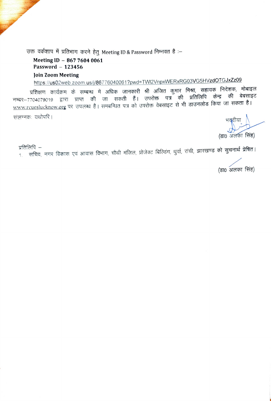उक्त वर्कशाप में प्रतिभाग करने हेतु Meeting ID & Password निम्नवत है :-

## Meeting ID - 867 7604 0061 Password  $-123456$

## Join Zoom Meeting

https://us02web.zoom.us/j/86776040061?pwd=TWI2VnpxWERxRG03VG5HVzdOTGJxZz09

प्रशिक्षण कार्यक्रम के सम्बन्ध में अधिक जानकारी श्री अजित कुमार <mark>मिश्रा, सहायक</mark> निदेशक, मोबाइल नम्बर–7704079019 द्वारा प्राप्त की जा सकती हैं। उपरोक्त पत्र की प्रतिलिपि केन्द्र की बेबसाइट www.rcueslucknow.org पर उपलब्ध है। समबन्धित पत्र को उपरोक्त वेबसाइट से भी डाउनलोड किया जा सकता है। संलग्नकः यथोपरि ।

(डा0 अलका सिंह)

प्रतिलिपि –

<sub>1. </sub>सचिव, नगर विकास एवं आवास विभाग, चौथी मंजिल, प्रोजेक्ट बिल्डिंग, धुर्वा, रांची, झारखण्ड को सुचनार्थ प्रेषित।

(डा0 अलका सिंह)